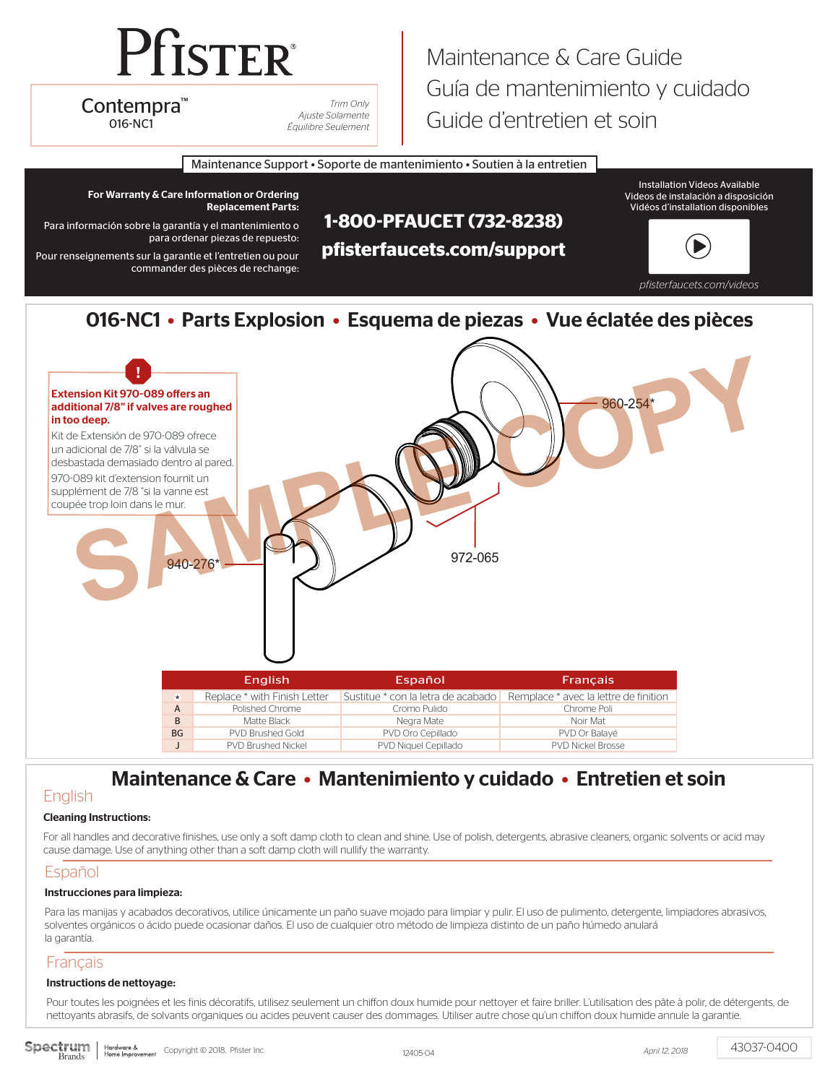# **Pfister**

Contempra™

*Trim Only Ajuste Solamente* 016-NC1 *Équilibre Seulement*

# Maintenance & Care Guide Guía de mantenimiento y cuidado Guide d'entretien et soin

Maintenance Support • Soporte de mantenimiento • Soutien à la entretien



## 016-NC1 • Parts Explosion • Esquema de piezas • Vue éclatée des pièces



# Maintenance & Care • Mantenimiento y cuidado • Entretien et soin

# **English**

#### Cleaning Instructions:

For all handles and decorative finishes, use only a soft damp cloth to clean and shine. Use of polish, detergents, abrasive cleaners, organic solvents or acid may cause damage. Use of anything other than a soft damp cloth will nullify the warranty.

### Español

#### Instrucciones para limpieza:

Para las manijas y acabados decorativos, utilice únicamente un paño suave mojado para limpiar y pulir. El uso de pulimento, detergente, limpiadores abrasivos, solventes orgánicos o ácido puede ocasionar daños. El uso de cualquier otro método de limpieza distinto de un paño húmedo anulará la garantía.

### Français

#### Instructions de nettoyage:

Pour toutes les poignées et les finis décoratifs, utilisez seulement un chiffon doux humide pour nettoyer et faire briller. L'utilisation des pâte à polir, de détergents, de nettoyants abrasifs, de solvants organiques ou acides peuvent causer des dommages. Utiliser autre chose qu'un chiffon doux humide annule la garantie.